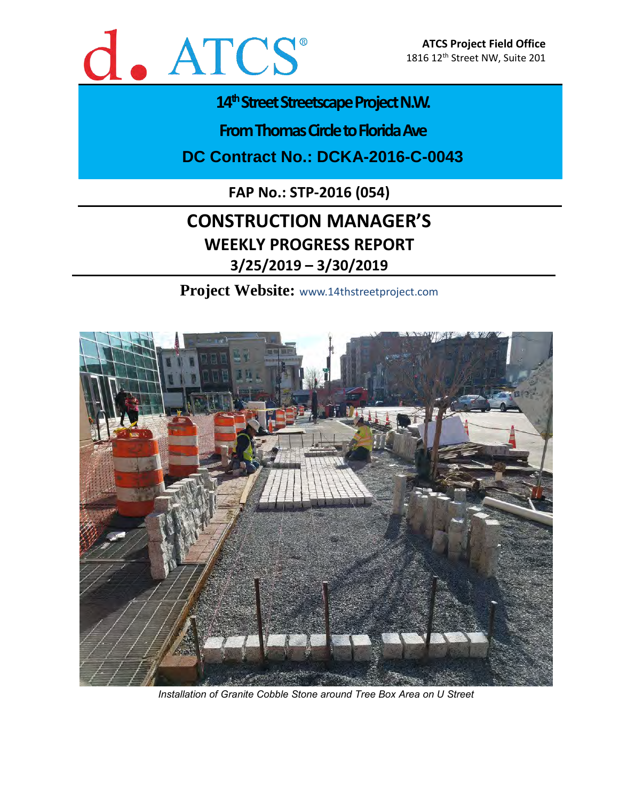

### 14<sup>th</sup> Street Streetscape Project N.W.

**From Thomas Circle to Florida Ave** 

**DC Contract No.: DCKA-2016-C-0043**

**FAP No.: STP-2016 (054)**

## **CONSTRUCTION MANAGER'S WEEKLY PROGRESS REPORT 3/25/2019 – 3/30/2019**

**Project Website:** www.14thstreetproject.com



*Installation of Granite Cobble Stone around Tree Box Area on U Street*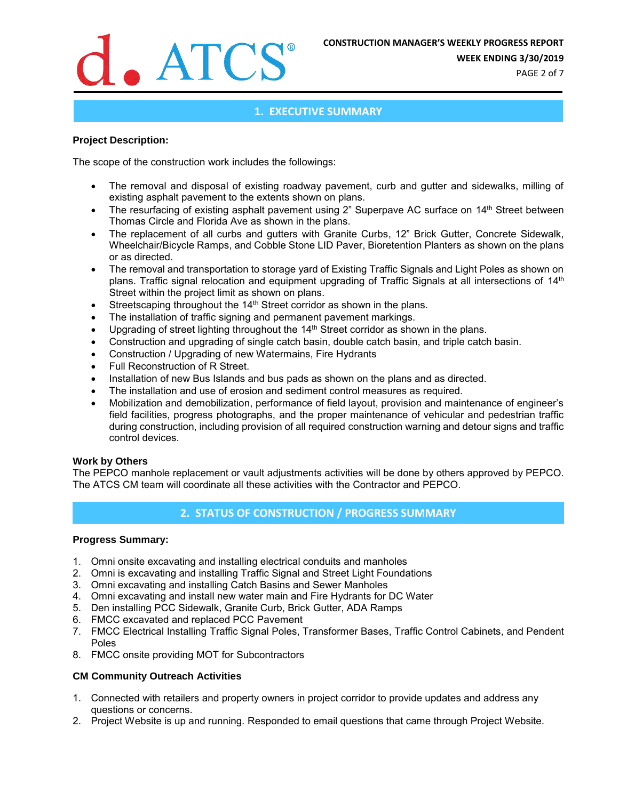

**WEEK ENDING 3/30/2019**

PAGE 2 of 7

#### **1. EXECUTIVE SUMMARY**

#### **Project Description:**

The scope of the construction work includes the followings:

- The removal and disposal of existing roadway pavement, curb and gutter and sidewalks, milling of existing asphalt pavement to the extents shown on plans.
- The resurfacing of existing asphalt pavement using 2" Superpave AC surface on 14<sup>th</sup> Street between Thomas Circle and Florida Ave as shown in the plans.
- The replacement of all curbs and gutters with Granite Curbs, 12" Brick Gutter, Concrete Sidewalk, Wheelchair/Bicycle Ramps, and Cobble Stone LID Paver, Bioretention Planters as shown on the plans or as directed.
- The removal and transportation to storage yard of Existing Traffic Signals and Light Poles as shown on plans. Traffic signal relocation and equipment upgrading of Traffic Signals at all intersections of 14<sup>th</sup> Street within the project limit as shown on plans.
- Streetscaping throughout the 14<sup>th</sup> Street corridor as shown in the plans.
- The installation of traffic signing and permanent pavement markings.
- Upgrading of street lighting throughout the 14<sup>th</sup> Street corridor as shown in the plans.
- Construction and upgrading of single catch basin, double catch basin, and triple catch basin.
- Construction / Upgrading of new Watermains, Fire Hydrants
- Full Reconstruction of R Street.
- Installation of new Bus Islands and bus pads as shown on the plans and as directed.
- The installation and use of erosion and sediment control measures as required.
- Mobilization and demobilization, performance of field layout, provision and maintenance of engineer's field facilities, progress photographs, and the proper maintenance of vehicular and pedestrian traffic during construction, including provision of all required construction warning and detour signs and traffic control devices.

#### **Work by Others**

The PEPCO manhole replacement or vault adjustments activities will be done by others approved by PEPCO. The ATCS CM team will coordinate all these activities with the Contractor and PEPCO.

#### **2. STATUS OF CONSTRUCTION / PROGRESS SUMMARY**

#### **Progress Summary:**

- 1. Omni onsite excavating and installing electrical conduits and manholes
- 2. Omni is excavating and installing Traffic Signal and Street Light Foundations
- 3. Omni excavating and installing Catch Basins and Sewer Manholes
- 4. Omni excavating and install new water main and Fire Hydrants for DC Water
- 5. Den installing PCC Sidewalk, Granite Curb, Brick Gutter, ADA Ramps
- 6. FMCC excavated and replaced PCC Pavement
- 7. FMCC Electrical Installing Traffic Signal Poles, Transformer Bases, Traffic Control Cabinets, and Pendent Poles
- 8. FMCC onsite providing MOT for Subcontractors

#### **CM Community Outreach Activities**

- 1. Connected with retailers and property owners in project corridor to provide updates and address any questions or concerns.
- 2. Project Website is up and running. Responded to email questions that came through Project Website.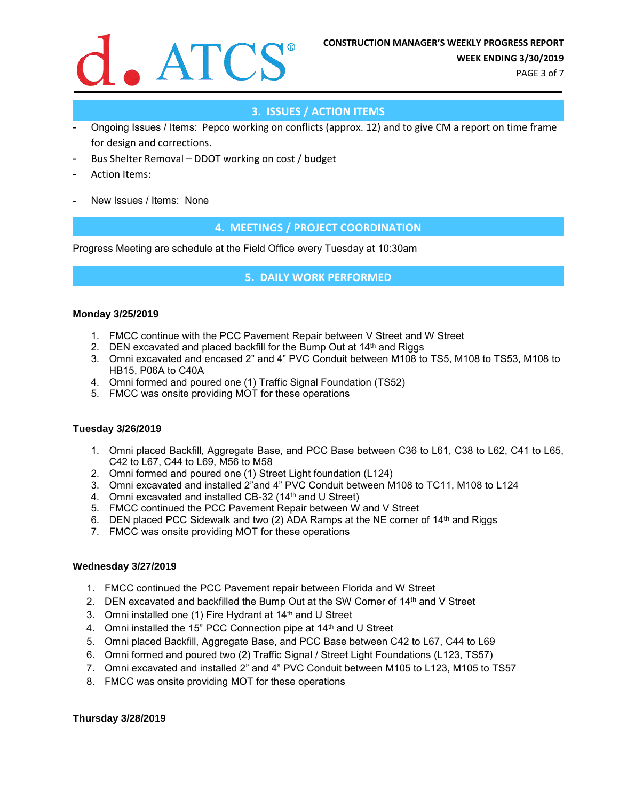

PAGE 3 of 7

#### **3. ISSUES / ACTION ITEMS**

- Ongoing Issues / Items: Pepco working on conflicts (approx. 12) and to give CM a report on time frame for design and corrections.
- Bus Shelter Removal DDOT working on cost / budget
- Action Items:
- New Issues / Items: None

#### **4. MEETINGS / PROJECT COORDINATION**

Progress Meeting are schedule at the Field Office every Tuesday at 10:30am

#### **5. DAILY WORK PERFORMED**

#### **Monday 3/25/2019**

- 1. FMCC continue with the PCC Pavement Repair between V Street and W Street
- 2. DEN excavated and placed backfill for the Bump Out at  $14<sup>th</sup>$  and Riggs
- 3. Omni excavated and encased 2" and 4" PVC Conduit between M108 to TS5, M108 to TS53, M108 to HB15, P06A to C40A
- 4. Omni formed and poured one (1) Traffic Signal Foundation (TS52)
- 5. FMCC was onsite providing MOT for these operations

#### **Tuesday 3/26/2019**

- 1. Omni placed Backfill, Aggregate Base, and PCC Base between C36 to L61, C38 to L62, C41 to L65, C42 to L67, C44 to L69, M56 to M58
- 2. Omni formed and poured one (1) Street Light foundation (L124)
- 3. Omni excavated and installed 2"and 4" PVC Conduit between M108 to TC11, M108 to L124
- 4. Omni excavated and installed CB-32 (14<sup>th</sup> and U Street)
- 5. FMCC continued the PCC Pavement Repair between W and V Street
- 6. DEN placed PCC Sidewalk and two (2) ADA Ramps at the NE corner of  $14<sup>th</sup>$  and Riggs
- 7. FMCC was onsite providing MOT for these operations

#### **Wednesday 3/27/2019**

- 1. FMCC continued the PCC Pavement repair between Florida and W Street
- 2. DEN excavated and backfilled the Bump Out at the SW Corner of  $14<sup>th</sup>$  and V Street
- 3. Omni installed one (1) Fire Hydrant at 14th and U Street
- 4. Omni installed the 15" PCC Connection pipe at 14th and U Street
- 5. Omni placed Backfill, Aggregate Base, and PCC Base between C42 to L67, C44 to L69
- 6. Omni formed and poured two (2) Traffic Signal / Street Light Foundations (L123, TS57)
- 7. Omni excavated and installed 2" and 4" PVC Conduit between M105 to L123, M105 to TS57
- 8. FMCC was onsite providing MOT for these operations

#### **Thursday 3/28/2019**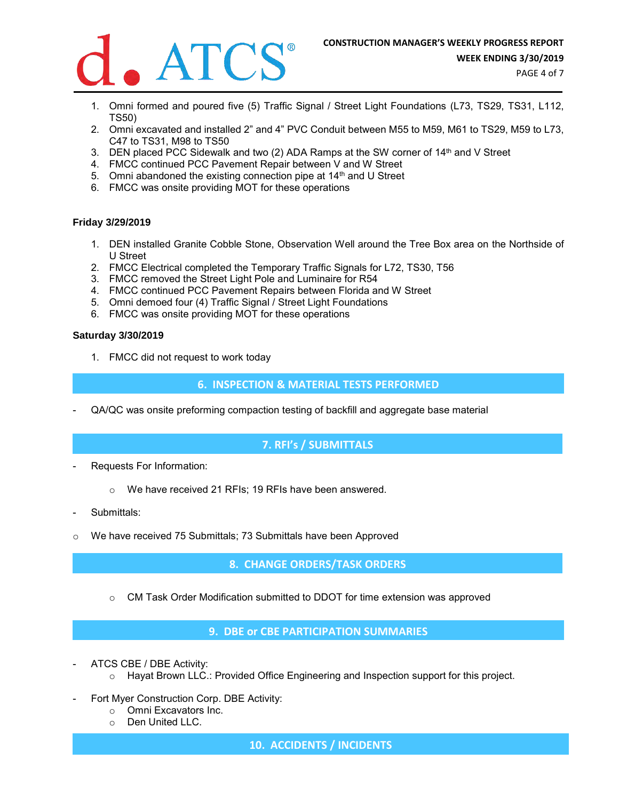

PAGE 4 of 7

- 1. Omni formed and poured five (5) Traffic Signal / Street Light Foundations (L73, TS29, TS31, L112, TS50)
- 2. Omni excavated and installed 2" and 4" PVC Conduit between M55 to M59, M61 to TS29, M59 to L73, C47 to TS31, M98 to TS50
- 3. DEN placed PCC Sidewalk and two (2) ADA Ramps at the SW corner of  $14<sup>th</sup>$  and V Street
- 4. FMCC continued PCC Pavement Repair between V and W Street
- 5. Omni abandoned the existing connection pipe at 14<sup>th</sup> and U Street
- 6. FMCC was onsite providing MOT for these operations

#### **Friday 3/29/2019**

- 1. DEN installed Granite Cobble Stone, Observation Well around the Tree Box area on the Northside of U Street
- 2. FMCC Electrical completed the Temporary Traffic Signals for L72, TS30, T56
- 3. FMCC removed the Street Light Pole and Luminaire for R54
- 4. FMCC continued PCC Pavement Repairs between Florida and W Street
- 5. Omni demoed four (4) Traffic Signal / Street Light Foundations
- 6. FMCC was onsite providing MOT for these operations

#### **Saturday 3/30/2019**

1. FMCC did not request to work today

#### **6. INSPECTION & MATERIAL TESTS PERFORMED**

- QA/QC was onsite preforming compaction testing of backfill and aggregate base material

#### **7. RFI's / SUBMITTALS**

- Requests For Information:
	- o We have received 21 RFIs; 19 RFIs have been answered.
- Submittals:
- $\circ$  We have received 75 Submittals; 73 Submittals have been Approved

#### **8. CHANGE ORDERS/TASK ORDERS**

 $\circ$  CM Task Order Modification submitted to DDOT for time extension was approved

#### **9. DBE or CBE PARTICIPATION SUMMARIES**

- ATCS CBE / DBE Activity:
	- $\circ$  Hayat Brown LLC.: Provided Office Engineering and Inspection support for this project.
- Fort Myer Construction Corp. DBE Activity:
	- o Omni Excavators Inc.
	- o Den United LLC.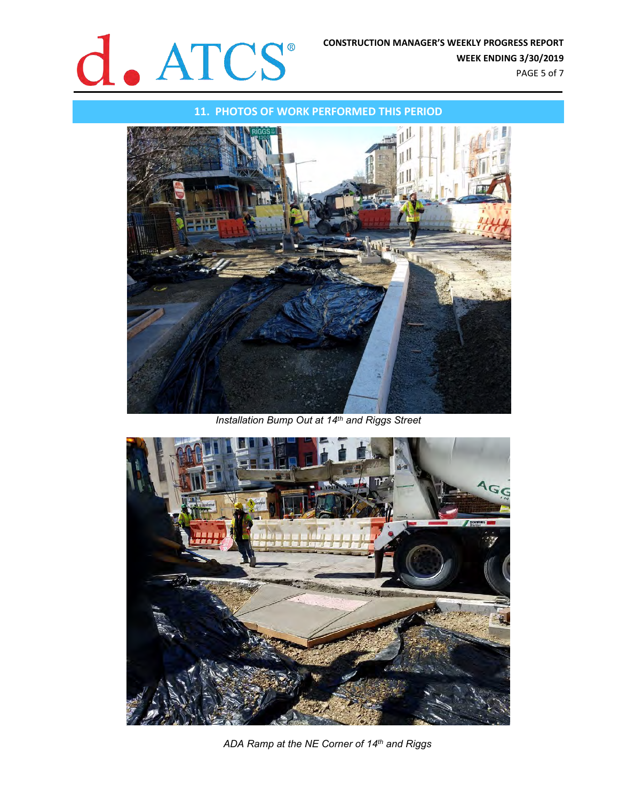## **CONSTRUCTION MANAGER'S WEEKLY PROGRESS REPORT<br>WEEK ENDING 3/30/2019**

**11. PHOTOS OF WORK PERFORMED THIS PERIOD**



*Installation Bump Out at 14th and Riggs Street*



*ADA Ramp at the NE Corner of 14th and Riggs*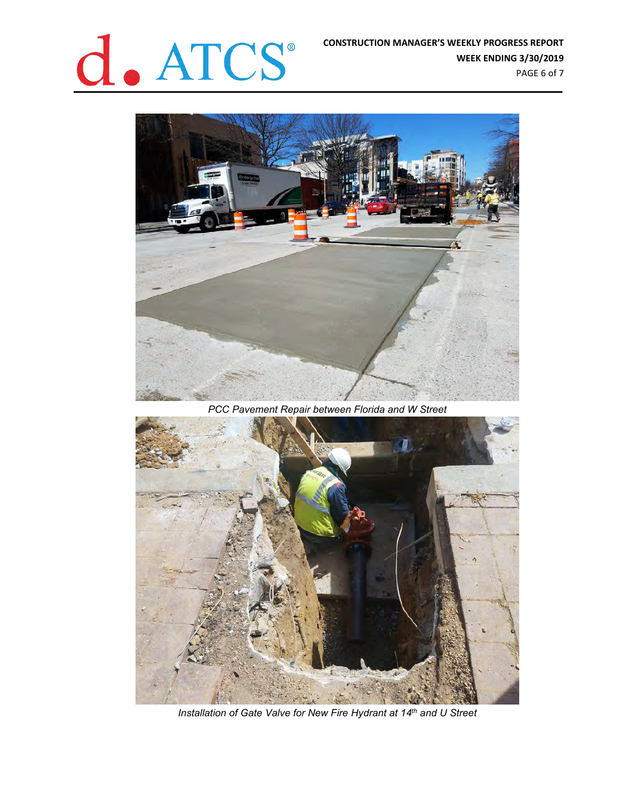

**WEEK ENDING 3/30/2019** PAGE 6 of 7



*PCC Pavement Repair between Florida and W Street*



*Installation of Gate Valve for New Fire Hydrant at 14th and U Street*